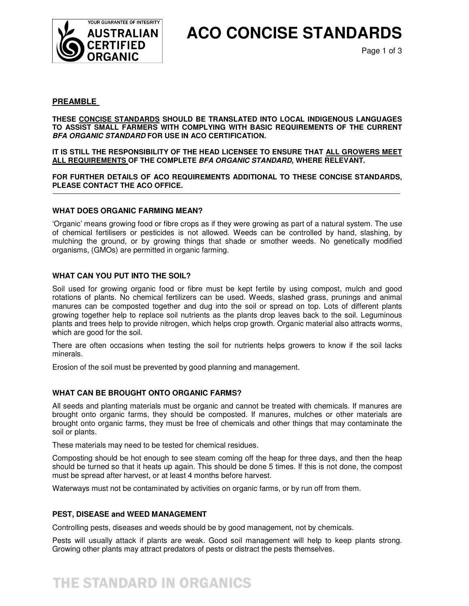

# **ACO CONCISE STANDARDS**

#### **PREAMBLE**

 **THESE CONCISE STANDARDS SHOULD BE TRANSLATED INTO LOCAL INDIGENOUS LANGUAGES TO ASSIST SMALL FARMERS WITH COMPLYING WITH BASIC REQUIREMENTS OF THE CURRENT BFA ORGANIC STANDARD FOR USE IN ACO CERTIFICATION.** 

**IT IS STILL THE RESPONSIBILITY OF THE HEAD LICENSEE TO ENSURE THAT ALL GROWERS MEET ALL REQUIREMENTS OF THE COMPLETE BFA ORGANIC STANDARD, WHERE RELEVANT.** 

**FOR FURTHER DETAILS OF ACO REQUIREMENTS ADDITIONAL TO THESE CONCISE STANDARDS, PLEASE CONTACT THE ACO OFFICE.** 

#### **WHAT DOES ORGANIC FARMING MEAN?**

'Organic' means growing food or fibre crops as if they were growing as part of a natural system. The use of chemical fertilisers or pesticides is not allowed. Weeds can be controlled by hand, slashing, by mulching the ground, or by growing things that shade or smother weeds. No genetically modified organisms, (GMOs) are permitted in organic farming.

#### **WHAT CAN YOU PUT INTO THE SOIL?**

Soil used for growing organic food or fibre must be kept fertile by using compost, mulch and good rotations of plants. No chemical fertilizers can be used. Weeds, slashed grass, prunings and animal manures can be composted together and dug into the soil or spread on top. Lots of different plants growing together help to replace soil nutrients as the plants drop leaves back to the soil. Leguminous plants and trees help to provide nitrogen, which helps crop growth. Organic material also attracts worms, which are good for the soil.

There are often occasions when testing the soil for nutrients helps growers to know if the soil lacks minerals.

Erosion of the soil must be prevented by good planning and management.

#### **WHAT CAN BE BROUGHT ONTO ORGANIC FARMS?**

All seeds and planting materials must be organic and cannot be treated with chemicals. If manures are brought onto organic farms, they should be composted. If manures, mulches or other materials are brought onto organic farms, they must be free of chemicals and other things that may contaminate the soil or plants.

These materials may need to be tested for chemical residues.

Composting should be hot enough to see steam coming off the heap for three days, and then the heap should be turned so that it heats up again. This should be done 5 times. If this is not done, the compost must be spread after harvest, or at least 4 months before harvest.

Waterways must not be contaminated by activities on organic farms, or by run off from them.

#### **PEST, DISEASE and WEED MANAGEMENT**

Controlling pests, diseases and weeds should be by good management, not by chemicals.

Pests will usually attack if plants are weak. Good soil management will help to keep plants strong. Growing other plants may attract predators of pests or distract the pests themselves.

## THE STANDARD IN ORGANICS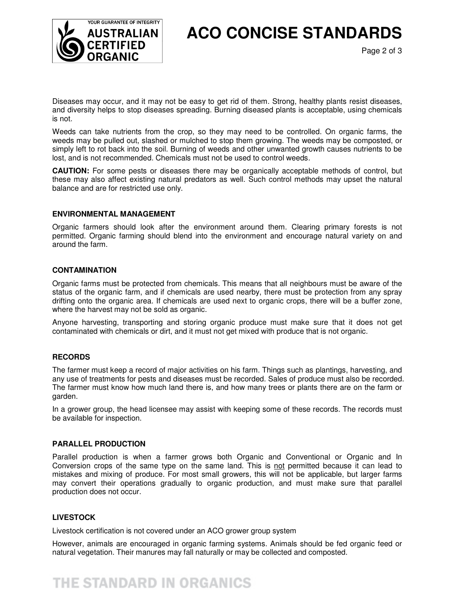

**ACO CONCISE STANDARDS** 

Page 2 of 3

Diseases may occur, and it may not be easy to get rid of them. Strong, healthy plants resist diseases, and diversity helps to stop diseases spreading. Burning diseased plants is acceptable, using chemicals is not.

Weeds can take nutrients from the crop, so they may need to be controlled. On organic farms, the weeds may be pulled out, slashed or mulched to stop them growing. The weeds may be composted, or simply left to rot back into the soil. Burning of weeds and other unwanted growth causes nutrients to be lost, and is not recommended. Chemicals must not be used to control weeds.

**CAUTION:** For some pests or diseases there may be organically acceptable methods of control, but these may also affect existing natural predators as well. Such control methods may upset the natural balance and are for restricted use only.

#### **ENVIRONMENTAL MANAGEMENT**

Organic farmers should look after the environment around them. Clearing primary forests is not permitted. Organic farming should blend into the environment and encourage natural variety on and around the farm.

#### **CONTAMINATION**

Organic farms must be protected from chemicals. This means that all neighbours must be aware of the status of the organic farm, and if chemicals are used nearby, there must be protection from any spray drifting onto the organic area. If chemicals are used next to organic crops, there will be a buffer zone, where the harvest may not be sold as organic.

Anyone harvesting, transporting and storing organic produce must make sure that it does not get contaminated with chemicals or dirt, and it must not get mixed with produce that is not organic.

#### **RECORDS**

The farmer must keep a record of major activities on his farm. Things such as plantings, harvesting, and any use of treatments for pests and diseases must be recorded. Sales of produce must also be recorded. The farmer must know how much land there is, and how many trees or plants there are on the farm or garden.

In a grower group, the head licensee may assist with keeping some of these records. The records must be available for inspection.

#### **PARALLEL PRODUCTION**

Parallel production is when a farmer grows both Organic and Conventional or Organic and In Conversion crops of the same type on the same land. This is not permitted because it can lead to mistakes and mixing of produce. For most small growers, this will not be applicable, but larger farms may convert their operations gradually to organic production, and must make sure that parallel production does not occur.

#### **LIVESTOCK**

Livestock certification is not covered under an ACO grower group system

However, animals are encouraged in organic farming systems. Animals should be fed organic feed or natural vegetation. Their manures may fall naturally or may be collected and composted.

## **THE STANDARD IN ORGANICS**